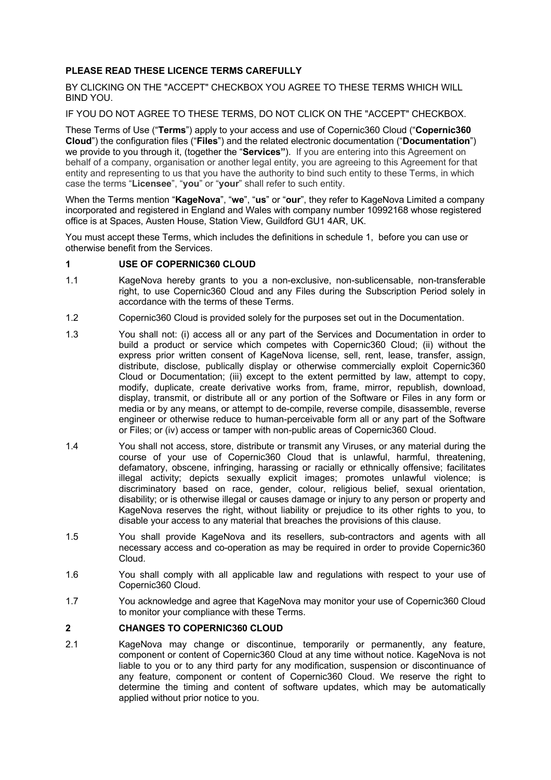## **PLEASE READ THESE LICENCE TERMS CAREFULLY**

BY CLICKING ON THE "ACCEPT" CHECKBOX YOU AGREE TO THESE TERMS WHICH WILL BIND YOU.

IF YOU DO NOT AGREE TO THESE TERMS, DO NOT CLICK ON THE "ACCEPT" CHECKBOX.

These Terms of Use ("**Terms**") apply to your access and use of Copernic360 Cloud ("**Copernic360 Cloud**") the configuration files ("**Files**") and the related electronic documentation ("**Documentation**") we provide to you through it, (together the "**Services"**). If you are entering into this Agreement on behalf of a company, organisation or another legal entity, you are agreeing to this Agreement for that entity and representing to us that you have the authority to bind such entity to these Terms, in which case the terms "**Licensee**", "**you**" or "**your**" shall refer to such entity.

When the Terms mention "**KageNova**", "**we**", "**us**" or "**our**", they refer to KageNova Limited a company incorporated and registered in England and Wales with company number 10992168 whose registered office is at Spaces, Austen House, Station View, Guildford GU1 4AR, UK.

You must accept these Terms, which includes the definitions in schedule 1, before you can use or otherwise benefit from the Services.

#### **1 USE OF COPERNIC360 CLOUD**

- 1.1 KageNova hereby grants to you a non-exclusive, non-sublicensable, non-transferable right, to use Copernic360 Cloud and any Files during the Subscription Period solely in accordance with the terms of these Terms.
- 1.2 Copernic360 Cloud is provided solely for the purposes set out in the Documentation.
- 1.3 You shall not: (i) access all or any part of the Services and Documentation in order to build a product or service which competes with Copernic360 Cloud; (ii) without the express prior written consent of KageNova license, sell, rent, lease, transfer, assign, distribute, disclose, publically display or otherwise commercially exploit Copernic360 Cloud or Documentation; (iii) except to the extent permitted by law, attempt to copy, modify, duplicate, create derivative works from, frame, mirror, republish, download, display, transmit, or distribute all or any portion of the Software or Files in any form or media or by any means, or attempt to de-compile, reverse compile, disassemble, reverse engineer or otherwise reduce to human-perceivable form all or any part of the Software or Files; or (iv) access or tamper with non-public areas of Copernic360 Cloud.
- 1.4 You shall not access, store, distribute or transmit any Viruses, or any material during the course of your use of Copernic360 Cloud that is unlawful, harmful, threatening, defamatory, obscene, infringing, harassing or racially or ethnically offensive; facilitates illegal activity; depicts sexually explicit images; promotes unlawful violence; is discriminatory based on race, gender, colour, religious belief, sexual orientation, disability; or is otherwise illegal or causes damage or injury to any person or property and KageNova reserves the right, without liability or prejudice to its other rights to you, to disable your access to any material that breaches the provisions of this clause.
- 1.5 You shall provide KageNova and its resellers, sub-contractors and agents with all necessary access and co-operation as may be required in order to provide Copernic360 Cloud.
- 1.6 You shall comply with all applicable law and regulations with respect to your use of Copernic360 Cloud.
- 1.7 You acknowledge and agree that KageNova may monitor your use of Copernic360 Cloud to monitor your compliance with these Terms.

### **2 CHANGES TO COPERNIC360 CLOUD**

2.1 KageNova may change or discontinue, temporarily or permanently, any feature, component or content of Copernic360 Cloud at any time without notice. KageNova is not liable to you or to any third party for any modification, suspension or discontinuance of any feature, component or content of Copernic360 Cloud. We reserve the right to determine the timing and content of software updates, which may be automatically applied without prior notice to you.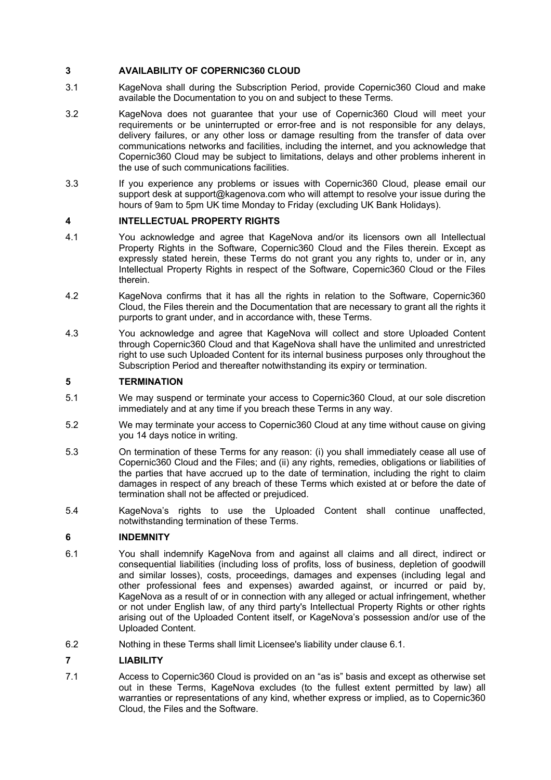## **3 AVAILABILITY OF COPERNIC360 CLOUD**

- 3.1 KageNova shall during the Subscription Period, provide Copernic360 Cloud and make available the Documentation to you on and subject to these Terms.
- 3.2 KageNova does not guarantee that your use of Copernic360 Cloud will meet your requirements or be uninterrupted or error-free and is not responsible for any delays, delivery failures, or any other loss or damage resulting from the transfer of data over communications networks and facilities, including the internet, and you acknowledge that Copernic360 Cloud may be subject to limitations, delays and other problems inherent in the use of such communications facilities.
- 3.3 If you experience any problems or issues with Copernic360 Cloud, please email our support desk at support@kagenova.com who will attempt to resolve your issue during the hours of 9am to 5pm UK time Monday to Friday (excluding UK Bank Holidays).

### **4 INTELLECTUAL PROPERTY RIGHTS**

- 4.1 You acknowledge and agree that KageNova and/or its licensors own all Intellectual Property Rights in the Software, Copernic360 Cloud and the Files therein. Except as expressly stated herein, these Terms do not grant you any rights to, under or in, any Intellectual Property Rights in respect of the Software, Copernic360 Cloud or the Files therein.
- 4.2 KageNova confirms that it has all the rights in relation to the Software, Copernic360 Cloud, the Files therein and the Documentation that are necessary to grant all the rights it purports to grant under, and in accordance with, these Terms.
- 4.3 You acknowledge and agree that KageNova will collect and store Uploaded Content through Copernic360 Cloud and that KageNova shall have the unlimited and unrestricted right to use such Uploaded Content for its internal business purposes only throughout the Subscription Period and thereafter notwithstanding its expiry or termination.

## **5 TERMINATION**

- 5.1 We may suspend or terminate your access to Copernic360 Cloud, at our sole discretion immediately and at any time if you breach these Terms in any way.
- 5.2 We may terminate your access to Copernic360 Cloud at any time without cause on giving you 14 days notice in writing.
- 5.3 On termination of these Terms for any reason: (i) you shall immediately cease all use of Copernic360 Cloud and the Files; and (ii) any rights, remedies, obligations or liabilities of the parties that have accrued up to the date of termination, including the right to claim damages in respect of any breach of these Terms which existed at or before the date of termination shall not be affected or prejudiced.
- 5.4 KageNova's rights to use the Uploaded Content shall continue unaffected, notwithstanding termination of these Terms.

# **6 INDEMNITY**

- 6.1 You shall indemnify KageNova from and against all claims and all direct, indirect or consequential liabilities (including loss of profits, loss of business, depletion of goodwill and similar losses), costs, proceedings, damages and expenses (including legal and other professional fees and expenses) awarded against, or incurred or paid by, KageNova as a result of or in connection with any alleged or actual infringement, whether or not under English law, of any third party's Intellectual Property Rights or other rights arising out of the Uploaded Content itself, or KageNova's possession and/or use of the Uploaded Content.
- 6.2 Nothing in these Terms shall limit Licensee's liability under clause 6.1.

### **7 LIABILITY**

7.1 Access to Copernic360 Cloud is provided on an "as is" basis and except as otherwise set out in these Terms, KageNova excludes (to the fullest extent permitted by law) all warranties or representations of any kind, whether express or implied, as to Copernic360 Cloud, the Files and the Software.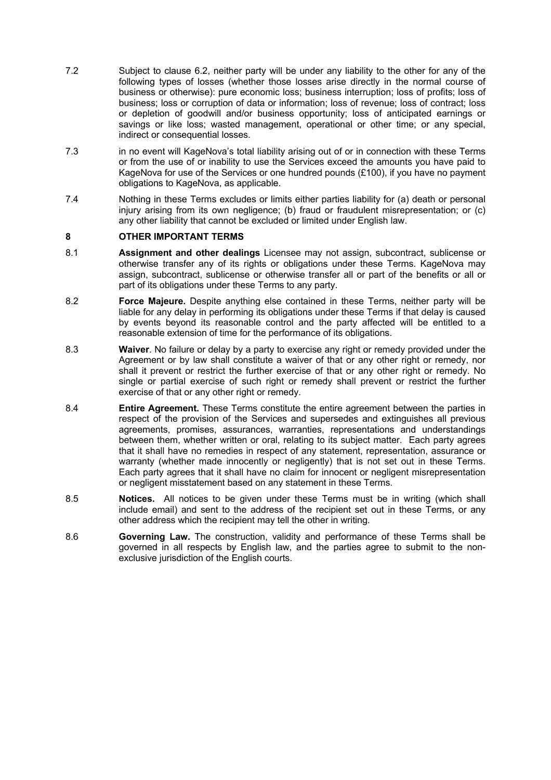- 7.2 Subject to clause 6.2, neither party will be under any liability to the other for any of the following types of losses (whether those losses arise directly in the normal course of business or otherwise): pure economic loss; business interruption; loss of profits; loss of business; loss or corruption of data or information; loss of revenue; loss of contract; loss or depletion of goodwill and/or business opportunity; loss of anticipated earnings or savings or like loss; wasted management, operational or other time; or any special, indirect or consequential losses.
- 7.3 in no event will KageNova's total liability arising out of or in connection with these Terms or from the use of or inability to use the Services exceed the amounts you have paid to KageNova for use of the Services or one hundred pounds (£100), if you have no payment obligations to KageNova, as applicable.
- 7.4 Nothing in these Terms excludes or limits either parties liability for (a) death or personal injury arising from its own negligence; (b) fraud or fraudulent misrepresentation; or (c) any other liability that cannot be excluded or limited under English law.

#### **8 OTHER IMPORTANT TERMS**

- 8.1 **Assignment and other dealings** Licensee may not assign, subcontract, sublicense or otherwise transfer any of its rights or obligations under these Terms. KageNova may assign, subcontract, sublicense or otherwise transfer all or part of the benefits or all or part of its obligations under these Terms to any party.
- 8.2 **Force Majeure.** Despite anything else contained in these Terms, neither party will be liable for any delay in performing its obligations under these Terms if that delay is caused by events beyond its reasonable control and the party affected will be entitled to a reasonable extension of time for the performance of its obligations.
- 8.3 **Waiver**. No failure or delay by a party to exercise any right or remedy provided under the Agreement or by law shall constitute a waiver of that or any other right or remedy, nor shall it prevent or restrict the further exercise of that or any other right or remedy. No single or partial exercise of such right or remedy shall prevent or restrict the further exercise of that or any other right or remedy.
- 8.4 **Entire Agreement.** These Terms constitute the entire agreement between the parties in respect of the provision of the Services and supersedes and extinguishes all previous agreements, promises, assurances, warranties, representations and understandings between them, whether written or oral, relating to its subject matter. Each party agrees that it shall have no remedies in respect of any statement, representation, assurance or warranty (whether made innocently or negligently) that is not set out in these Terms. Each party agrees that it shall have no claim for innocent or negligent misrepresentation or negligent misstatement based on any statement in these Terms.
- 8.5 **Notices.** All notices to be given under these Terms must be in writing (which shall include email) and sent to the address of the recipient set out in these Terms, or any other address which the recipient may tell the other in writing.
- 8.6 **Governing Law.** The construction, validity and performance of these Terms shall be governed in all respects by English law, and the parties agree to submit to the nonexclusive jurisdiction of the English courts.